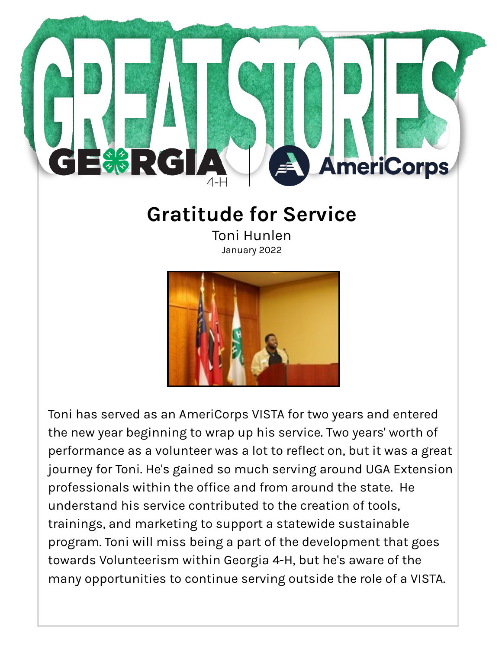

## **Gratitude for Service**

Toni Hunlen January 2022



Toni has served as an AmeriCorps VISTA for two years and entered the new year beginning to wrap up his service. Two years' worth of performance as a volunteer was a lot to reflect on, but it was a great journey for Toni. He's gained so much serving around UGA Extension professionals within the office and from around the state. He understand his service contributed to the creation of tools, trainings, and marketing to support a statewide sustainable program. Toni will miss being a part of the development that goes towards Volunteerism within Georgia 4-H, but he's aware of the many opportunities to continue serving outside the role of a VISTA.